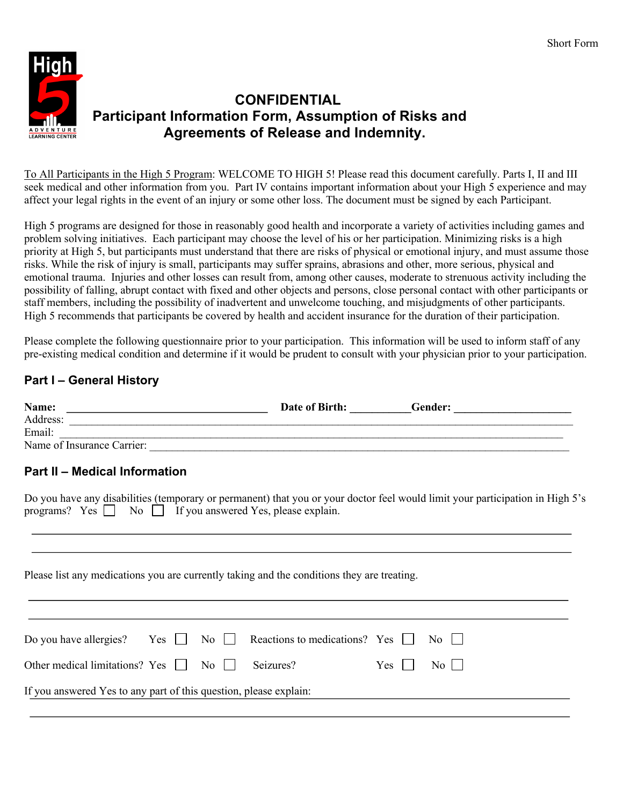

# **CONFIDENTIAL Participant Information Form, Assumption of Risks and Agreements of Release and Indemnity.**

To All Participants in the High 5 Program: WELCOME TO HIGH 5! Please read this document carefully. Parts I, II and III seek medical and other information from you. Part IV contains important information about your High 5 experience and may affect your legal rights in the event of an injury or some other loss. The document must be signed by each Participant.

High 5 programs are designed for those in reasonably good health and incorporate a variety of activities including games and problem solving initiatives. Each participant may choose the level of his or her participation. Minimizing risks is a high priority at High 5, but participants must understand that there are risks of physical or emotional injury, and must assume those risks. While the risk of injury is small, participants may suffer sprains, abrasions and other, more serious, physical and emotional trauma. Injuries and other losses can result from, among other causes, moderate to strenuous activity including the possibility of falling, abrupt contact with fixed and other objects and persons, close personal contact with other participants or staff members, including the possibility of inadvertent and unwelcome touching, and misjudgments of other participants. High 5 recommends that participants be covered by health and accident insurance for the duration of their participation.

Please complete the following questionnaire prior to your participation. This information will be used to inform staff of any pre-existing medical condition and determine if it would be prudent to consult with your physician prior to your participation.

## **Part I – General History**

| Name: $\qquad \qquad$                                                                      |           |       |                                                                                                                               |
|--------------------------------------------------------------------------------------------|-----------|-------|-------------------------------------------------------------------------------------------------------------------------------|
|                                                                                            |           |       |                                                                                                                               |
| Email:                                                                                     |           |       |                                                                                                                               |
| Name of Insurance Carrier:                                                                 |           |       |                                                                                                                               |
| <b>Part II - Medical Information</b>                                                       |           |       |                                                                                                                               |
| programs? Yes No If you answered Yes, please explain.                                      |           |       | Do you have any disabilities (temporary or permanent) that you or your doctor feel would limit your participation in High 5's |
|                                                                                            |           |       |                                                                                                                               |
| Please list any medications you are currently taking and the conditions they are treating. |           |       |                                                                                                                               |
| Do you have allergies? Yes $\Box$ No $\Box$ Reactions to medications? Yes $\Box$           |           |       | $\overline{N_0}$                                                                                                              |
| Other medical limitations? Yes     No                                                      | Seizures? | $Yes$ | $\overline{N_0}$                                                                                                              |
| If you answered Yes to any part of this question, please explain:                          |           |       |                                                                                                                               |
|                                                                                            |           |       |                                                                                                                               |